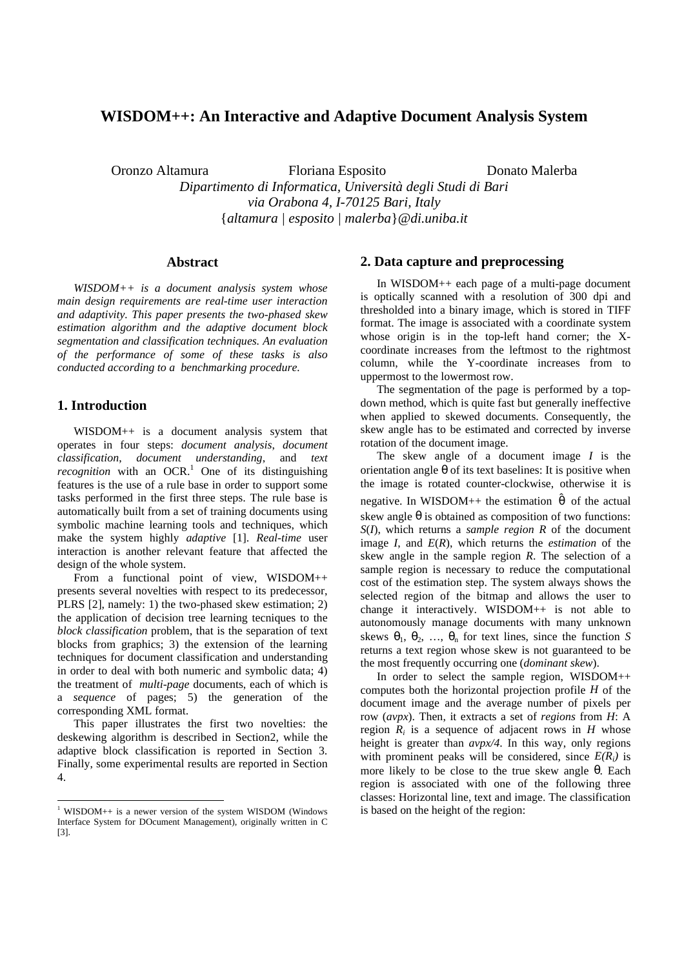# **WISDOM++: An Interactive and Adaptive Document Analysis System**

Oronzo Altamura Floriana Esposito Donato Malerba

*Dipartimento di Informatica, Università degli Studi di Bari via Orabona 4, I-70125 Bari, Italy* {*altamura | esposito | malerba*}*@di.uniba.it*

#### **Abstract**

*WISDOM++ is a document analysis system whose main design requirements are real-time user interaction and adaptivity. This paper presents the two-phased skew estimation algorithm and the adaptive document block segmentation and classification techniques. An evaluation of the performance of some of these tasks is also conducted according to a benchmarking procedure.*

## **1. Introduction**

WISDOM++ is a document analysis system that operates in four steps: *document analysis*, *document classification*, *document understanding*, and *text recognition* with an OCR.<sup>1</sup> One of its distinguishing features is the use of a rule base in order to support some tasks performed in the first three steps. The rule base is automatically built from a set of training documents using symbolic machine learning tools and techniques, which make the system highly *adaptive* [1]. *Real-time* user interaction is another relevant feature that affected the design of the whole system.

From a functional point of view, WISDOM++ presents several novelties with respect to its predecessor, PLRS [2], namely: 1) the two-phased skew estimation; 2) the application of decision tree learning tecniques to the *block classification* problem, that is the separation of text blocks from graphics; 3) the extension of the learning techniques for document classification and understanding in order to deal with both numeric and symbolic data; 4) the treatment of *multi-page* documents, each of which is a *sequence* of pages; 5) the generation of the corresponding XML format.

This paper illustrates the first two novelties: the deskewing algorithm is described in Section2, while the adaptive block classification is reported in Section 3. Finally, some experimental results are reported in Section 4.

## **2. Data capture and preprocessing**

In WISDOM++ each page of a multi-page document is optically scanned with a resolution of 300 dpi and thresholded into a binary image, which is stored in TIFF format. The image is associated with a coordinate system whose origin is in the top-left hand corner; the Xcoordinate increases from the leftmost to the rightmost column, while the Y-coordinate increases from to uppermost to the lowermost row.

The segmentation of the page is performed by a topdown method, which is quite fast but generally ineffective when applied to skewed documents. Consequently, the skew angle has to be estimated and corrected by inverse rotation of the document image.

The skew angle of a document image *I* is the orientation angle  $\theta$  of its text baselines: It is positive when the image is rotated counter-clockwise, otherwise it is negative. In WISDOM++ the estimation  $\hat{\theta}$  of the actual skew angle  $\theta$  is obtained as composition of two functions: *S*(*I*), which returns a *sample region R* of the document image *I*, and *E*(*R*), which returns the *estimation* of the skew angle in the sample region *R*. The selection of a sample region is necessary to reduce the computational cost of the estimation step. The system always shows the selected region of the bitmap and allows the user to change it interactively. WISDOM++ is not able to autonomously manage documents with many unknown skews  $\theta_1$ ,  $\theta_2$ , ...,  $\theta_n$  for text lines, since the function *S* returns a text region whose skew is not guaranteed to be the most frequently occurring one (*dominant skew*).

In order to select the sample region, WISDOM++ computes both the horizontal projection profile *H* of the document image and the average number of pixels per row (*avpx*). Then, it extracts a set of *regions* from *H*: A region  $R_i$  is a sequence of adjacent rows in  $H$  whose height is greater than *avpx/4*. In this way, only regions with prominent peaks will be considered, since  $E(R_i)$  is more likely to be close to the true skew angle θ. Each region is associated with one of the following three classes: Horizontal line, text and image. The classification is based on the height of the region:

 1 WISDOM++ is a newer version of the system WISDOM (Windows Interface System for DOcument Management), originally written in C [3].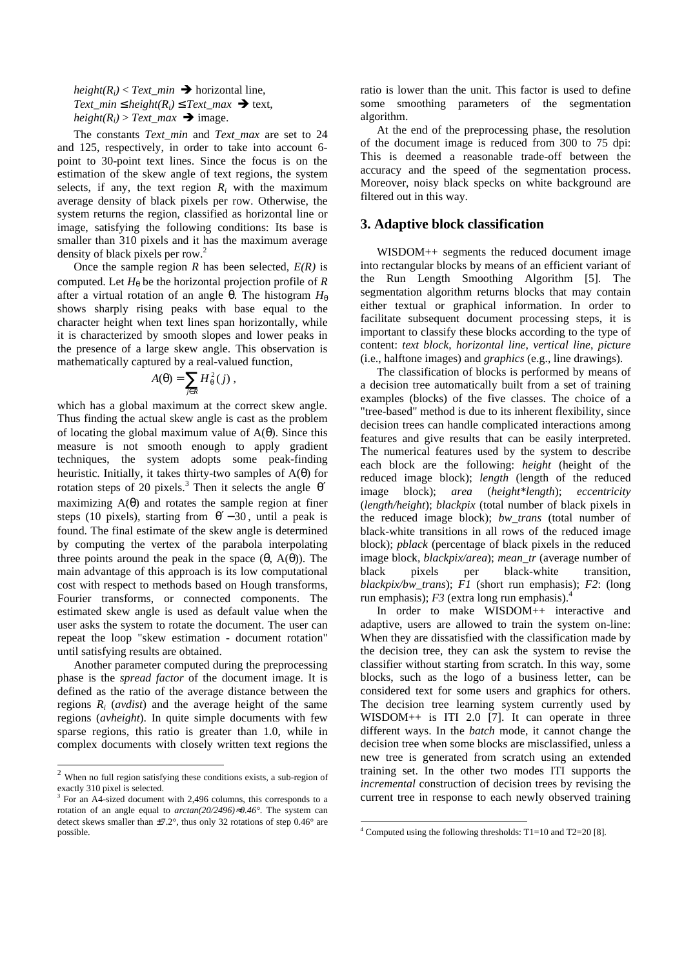$height(R_i) < Text\_min$   $\rightarrow$  horizontal line, *Text\_min*  $\leq$  *height(R<sub>i</sub>)*  $\leq$  *Text\_max*  $\rightarrow$  text,  $height(R_i) > Text\_max$   $\rightarrow$  image.

The constants *Text\_min* and *Text\_max* are set to 24 and 125, respectively, in order to take into account 6 point to 30-point text lines. Since the focus is on the estimation of the skew angle of text regions, the system selects, if any, the text region  $R_i$  with the maximum average density of black pixels per row. Otherwise, the system returns the region, classified as horizontal line or image, satisfying the following conditions: Its base is smaller than 310 pixels and it has the maximum average density of black pixels per row.<sup>2</sup>

Once the sample region *R* has been selected,  $E(R)$  is computed. Let  $H_{\theta}$  be the horizontal projection profile of *R* after a virtual rotation of an angle  $\theta$ . The histogram  $H_{\theta}$ shows sharply rising peaks with base equal to the character height when text lines span horizontally, while it is characterized by smooth slopes and lower peaks in the presence of a large skew angle. This observation is mathematically captured by a real-valued function,

$$
A(\theta) = \sum_{j \in R} H_{\theta}^{2}(j) ,
$$

which has a global maximum at the correct skew angle. Thus finding the actual skew angle is cast as the problem of locating the global maximum value of  $A(\theta)$ . Since this measure is not smooth enough to apply gradient techniques, the system adopts some peak-finding heuristic. Initially, it takes thirty-two samples of  $A(\theta)$  for rotation steps of 20 pixels.<sup>3</sup> Then it selects the angle  $\theta'$ maximizing  $A(\theta)$  and rotates the sample region at finer steps (10 pixels), starting from  $\theta'$  – 30, until a peak is found. The final estimate of the skew angle is determined by computing the vertex of the parabola interpolating three points around the peak in the space  $(θ, A(θ))$ . The main advantage of this approach is its low computational cost with respect to methods based on Hough transforms, Fourier transforms, or connected components. The estimated skew angle is used as default value when the user asks the system to rotate the document. The user can repeat the loop "skew estimation - document rotation" until satisfying results are obtained.

Another parameter computed during the preprocessing phase is the *spread factor* of the document image. It is defined as the ratio of the average distance between the regions *Ri* (*avdist*) and the average height of the same regions (*avheight*). In quite simple documents with few sparse regions, this ratio is greater than 1.0, while in complex documents with closely written text regions the

 $\overline{a}$ 

ratio is lower than the unit. This factor is used to define some smoothing parameters of the segmentation algorithm.

At the end of the preprocessing phase, the resolution of the document image is reduced from 300 to 75 dpi: This is deemed a reasonable trade-off between the accuracy and the speed of the segmentation process. Moreover, noisy black specks on white background are filtered out in this way.

## **3. Adaptive block classification**

WISDOM++ segments the reduced document image into rectangular blocks by means of an efficient variant of the Run Length Smoothing Algorithm [5]. The segmentation algorithm returns blocks that may contain either textual or graphical information. In order to facilitate subsequent document processing steps, it is important to classify these blocks according to the type of content: *text block*, *horizontal line*, *vertical line*, *picture* (i.e., halftone images) and *graphics* (e.g., line drawings).

The classification of blocks is performed by means of a decision tree automatically built from a set of training examples (blocks) of the five classes. The choice of a "tree-based" method is due to its inherent flexibility, since decision trees can handle complicated interactions among features and give results that can be easily interpreted. The numerical features used by the system to describe each block are the following: *height* (height of the reduced image block); *length* (length of the reduced image block); *area* (*height\*length*); *eccentricity* (*length/height*); *blackpix* (total number of black pixels in the reduced image block); *bw\_trans* (total number of black-white transitions in all rows of the reduced image block); *pblack* (percentage of black pixels in the reduced image block, *blackpix/area*); *mean\_tr* (average number of black pixels per black-white transition, *blackpix/bw\_trans*); *F1* (short run emphasis); *F2*: (long run emphasis);  $F3$  (extra long run emphasis).<sup>4</sup>

In order to make WISDOM++ interactive and adaptive, users are allowed to train the system on-line: When they are dissatisfied with the classification made by the decision tree, they can ask the system to revise the classifier without starting from scratch. In this way, some blocks, such as the logo of a business letter, can be considered text for some users and graphics for others. The decision tree learning system currently used by WISDOM++ is ITI 2.0 [7]. It can operate in three different ways. In the *batch* mode, it cannot change the decision tree when some blocks are misclassified, unless a new tree is generated from scratch using an extended training set. In the other two modes ITI supports the *incremental* construction of decision trees by revising the current tree in response to each newly observed training

 $2$  When no full region satisfying these conditions exists, a sub-region of exactly 310 pixel is selected.

<sup>&</sup>lt;sup>3</sup> For an A4-sized document with 2,496 columns, this corresponds to a rotation of an angle equal to *arctan(20/2496)*≈*0.46°*. The system can detect skews smaller than ±7.2°, thus only 32 rotations of step 0.46° are possible.

<sup>-</sup>4 Computed using the following thresholds: T1=10 and T2=20 [8].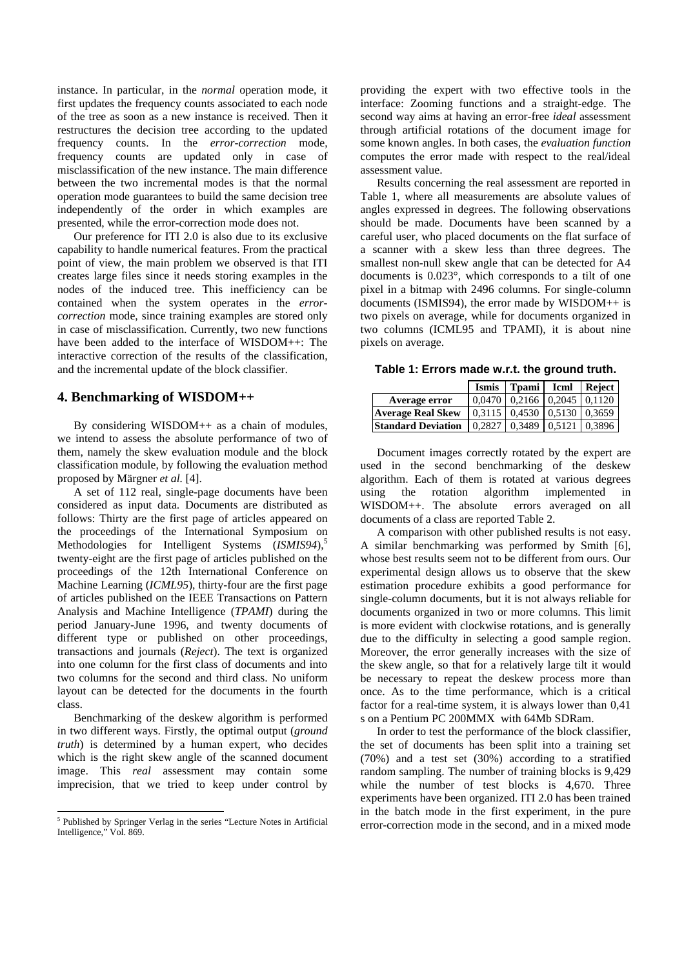instance. In particular, in the *normal* operation mode, it first updates the frequency counts associated to each node of the tree as soon as a new instance is received. Then it restructures the decision tree according to the updated frequency counts. In the *error-correction* mode, frequency counts are updated only in case of misclassification of the new instance. The main difference between the two incremental modes is that the normal operation mode guarantees to build the same decision tree independently of the order in which examples are presented, while the error-correction mode does not.

Our preference for ITI 2.0 is also due to its exclusive capability to handle numerical features. From the practical point of view, the main problem we observed is that ITI creates large files since it needs storing examples in the nodes of the induced tree. This inefficiency can be contained when the system operates in the *errorcorrection* mode, since training examples are stored only in case of misclassification. Currently, two new functions have been added to the interface of WISDOM++: The interactive correction of the results of the classification, and the incremental update of the block classifier.

## **4. Benchmarking of WISDOM++**

By considering WISDOM++ as a chain of modules, we intend to assess the absolute performance of two of them, namely the skew evaluation module and the block classification module, by following the evaluation method proposed by Märgner *et al.* [4].

A set of 112 real, single-page documents have been considered as input data. Documents are distributed as follows: Thirty are the first page of articles appeared on the proceedings of the International Symposium on Methodologies for Intelligent Systems (*ISMIS94*),<sup>5</sup> twenty-eight are the first page of articles published on the proceedings of the 12th International Conference on Machine Learning (*ICML95*), thirty-four are the first page of articles published on the IEEE Transactions on Pattern Analysis and Machine Intelligence (*TPAMI*) during the period January-June 1996, and twenty documents of different type or published on other proceedings, transactions and journals (*Reject*). The text is organized into one column for the first class of documents and into two columns for the second and third class. No uniform layout can be detected for the documents in the fourth class.

Benchmarking of the deskew algorithm is performed in two different ways. Firstly, the optimal output (*ground truth*) is determined by a human expert, who decides which is the right skew angle of the scanned document image. This *real* assessment may contain some imprecision, that we tried to keep under control by

 $\overline{a}$ 

providing the expert with two effective tools in the interface: Zooming functions and a straight-edge. The second way aims at having an error-free *ideal* assessment through artificial rotations of the document image for some known angles. In both cases, the *evaluation function* computes the error made with respect to the real/ideal assessment value.

Results concerning the real assessment are reported in Table 1, where all measurements are absolute values of angles expressed in degrees. The following observations should be made. Documents have been scanned by a careful user, who placed documents on the flat surface of a scanner with a skew less than three degrees. The smallest non-null skew angle that can be detected for A4 documents is 0.023°, which corresponds to a tilt of one pixel in a bitmap with 2496 columns. For single-column documents (ISMIS94), the error made by WISDOM++ is two pixels on average, while for documents organized in two columns (ICML95 and TPAMI), it is about nine pixels on average.

**Table 1: Errors made w.r.t. the ground truth.**

|                           | <b>Ismis</b> | Tpami                                             | Icml   | Reject |
|---------------------------|--------------|---------------------------------------------------|--------|--------|
| Average error             |              | $0.0470$   0.2166   0.2045   0.1120               |        |        |
| <b>Average Real Skew</b>  |              | $\mid 0.3115 \mid 0.4530 \mid 0.5130 \mid 0.3659$ |        |        |
| <b>Standard Deviation</b> | 0.2827       | 0.3489                                            | 0.5121 | 0.3896 |

Document images correctly rotated by the expert are used in the second benchmarking of the deskew algorithm. Each of them is rotated at various degrees using the rotation algorithm implemented in WISDOM++. The absolute errors averaged on all documents of a class are reported Table 2.

A comparison with other published results is not easy. A similar benchmarking was performed by Smith [6], whose best results seem not to be different from ours. Our experimental design allows us to observe that the skew estimation procedure exhibits a good performance for single-column documents, but it is not always reliable for documents organized in two or more columns. This limit is more evident with clockwise rotations, and is generally due to the difficulty in selecting a good sample region. Moreover, the error generally increases with the size of the skew angle, so that for a relatively large tilt it would be necessary to repeat the deskew process more than once. As to the time performance, which is a critical factor for a real-time system, it is always lower than 0,41 s on a Pentium PC 200MMX with 64Mb SDRam.

In order to test the performance of the block classifier, the set of documents has been split into a training set (70%) and a test set (30%) according to a stratified random sampling. The number of training blocks is 9,429 while the number of test blocks is 4,670. Three experiments have been organized. ITI 2.0 has been trained in the batch mode in the first experiment, in the pure error-correction mode in the second, and in a mixed mode

<sup>&</sup>lt;sup>5</sup> Published by Springer Verlag in the series "Lecture Notes in Artificial Intelligence," Vol. 869.